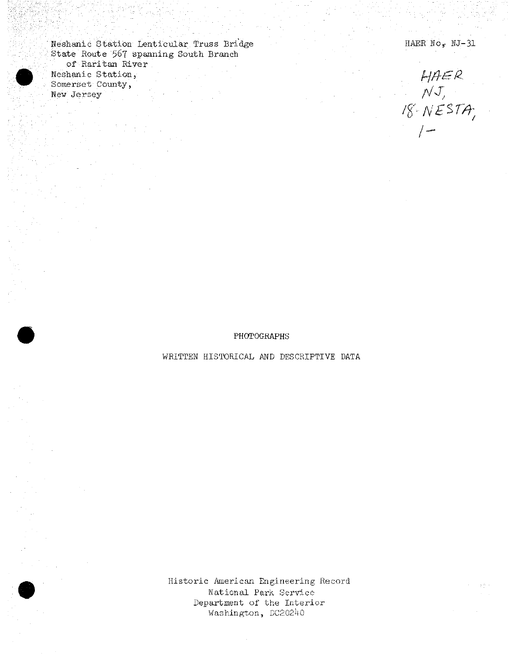Neshanic Station Lenticular Truss Bridge State Route 567 spanning South Branch of Raritan River Neshanic Station, Somerset County, New Jersey

HAER No, NJ-31

 $HHER  
NT,  
18 - NESTA,$  $\left| \right|$ 

PHOTOGRAPHS

WRITTEN HISTORICAL AND DESCRIPTIVE DATA

Historic American Engineering Record National Park Service Department of the Interior Washington, DC20240

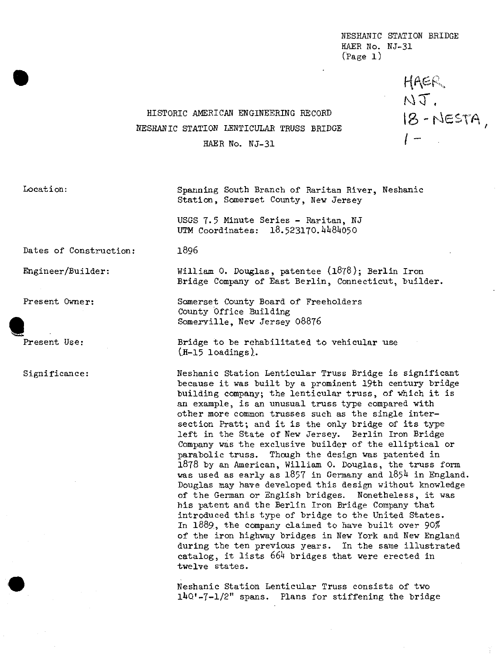NESHANIC STATION BRIDGE KAER Mo. KJ-31 (Page 1)

> HAER. MT,  $18 - NESTA$

## HISTORIC AMERICAN ENGINEERING RECORD NESHANIC STATION LENTICULAR TRUSS BRIDGE HAER No. NJ-31

1896

Location:

Spanning South Branch of Raritan River, Neshanic Station, Somerset County, New Jersey

USGS 7.5 Minute Series - Raritan, NJ UTM Coordinates: 18.523170.4484050

Dates of Construction:

Engineer/Builder:

Present Owner:

**\*\*3E** Present Use:

Significance:

William 0. Douglas, patentee  $(1878)$ ; Berlin Iron Bridge Company of East Berlin, Connecticut, builder.

Somerset County Board of Freeholders County Office Ruilding Somerville, New Jersey O8876

Bridge to he rehabilitated to vehicular use  $(H-15$  loadings).

Neshanic Station Lenticular Truss Bridge is significant because it was built by a prominent 19th century bridge building company; the lenticular truss, of which it is an example, is an unusual truss type compared with other more common trusses such as the single intersection Pratt; and it is the only bridge of its type left in the State of New Jersey. Berlin Iron Bridge Company was the exclusive builder of the elliptical or parabolic truss. Though the design was patented in 1878 by an American, William 0. Douglas, the truss form was used as early as  $1857$  in Germany and  $1854$  in England. Douglas may have developed this design without knowledge of the German or English bridges. Nonetheless, it was his patent and the Berlin Iron Bridge Company that introduced this type of bridge to the United States. In 1889, the company claimed to have built over 90% of the iron highway bridges in New York and New England during the ten previous years. In the same illustrated catalog, it lists *66k* bridges that were erected in twelve states.

Neshanic Station Lenticular Truss consists of two *±ko:*-7-1/2" spans. Plans for stiffening the bridge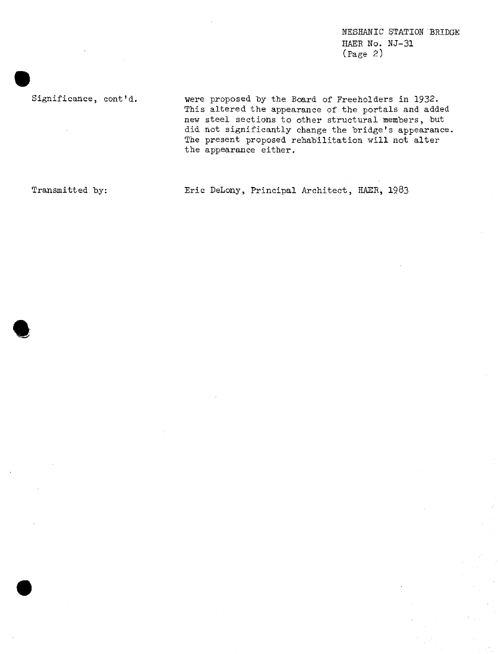NESHANIC STATION BRIDGE HAER No. NJ-31 (Page 2)

Significance, cont'd. were proposed by the Board of Freeholders in 1932. This altered the appearance of the portals and added new steel sections to other structural members, but did not significantly change the bridge's appearance, The present proposed rehabilitation will not alter the appearance either.

**•**

Transmitted by: Eric DeLony, Principal Architect, HAEK, 19.83